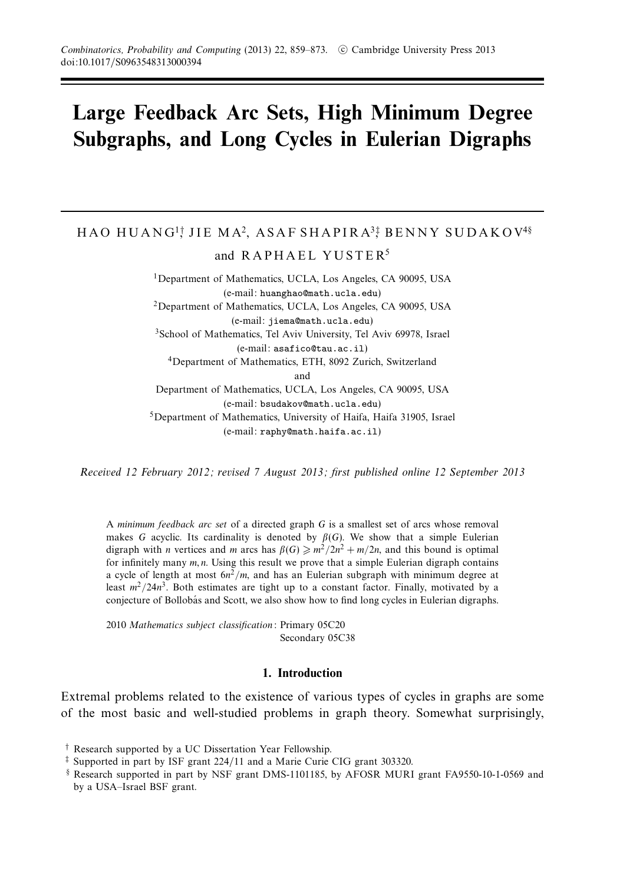# **Large Feedback Arc Sets, High Minimum Degree Subgraphs, and Long Cycles in Eulerian Digraphs**

# HAO HUANG<sup>1</sup>; JIE MA<sup>2</sup>, ASAF SHAPIRA<sup>3</sup>; BENNY SUDAKOV<sup>4§</sup>

and  $RAPHAEL YUSTER<sup>5</sup>$ 

1Department of Mathematics, UCLA, Los Angeles, CA 90095, USA (e-mail: huanghao@math.ucla.edu) 2Department of Mathematics, UCLA, Los Angeles, CA 90095, USA (e-mail: jiema@math.ucla.edu) 3School of Mathematics, Tel Aviv University, Tel Aviv 69978, Israel (e-mail: asafico@tau.ac.il) 4Department of Mathematics, ETH, 8092 Zurich, Switzerland and Department of Mathematics, UCLA, Los Angeles, CA 90095, USA (e-mail: bsudakov@math.ucla.edu) 5Department of Mathematics, University of Haifa, Haifa 31905, Israel (e-mail: raphy@math.haifa.ac.il)

Received 12 February 2012; revised 7 August 2013; first published online 12 September 2013

A minimum feedback arc set of a directed graph *G* is a smallest set of arcs whose removal makes *G* acyclic. Its cardinality is denoted by  $\beta(G)$ . We show that a simple Eulerian digraph with *n* vertices and *m* arcs has  $\beta(G) \geq m^2/2n^2 + m/2n$ , and this bound is optimal for infinitely many *m, n*. Using this result we prove that a simple Eulerian digraph contains a cycle of length at most  $6n^2/m$ , and has an Eulerian subgraph with minimum degree at least  $m^2/24n^3$ . Both estimates are tight up to a constant factor. Finally, motivated by a conjecture of Bollobás and Scott, we also show how to find long cycles in Eulerian digraphs.

2010 Mathematics subject classification: Primary 05C20 Secondary 05C38

# **1. Introduction**

Extremal problems related to the existence of various types of cycles in graphs are some of the most basic and well-studied problems in graph theory. Somewhat surprisingly,

<sup>†</sup> Research supported by a UC Dissertation Year Fellowship.

<sup>‡</sup> Supported in part by ISF grant 224/11 and a Marie Curie CIG grant 303320.

<sup>§</sup> Research supported in part by NSF grant DMS-1101185, by AFOSR MURI grant FA9550-10-1-0569 and by a USA–Israel BSF grant.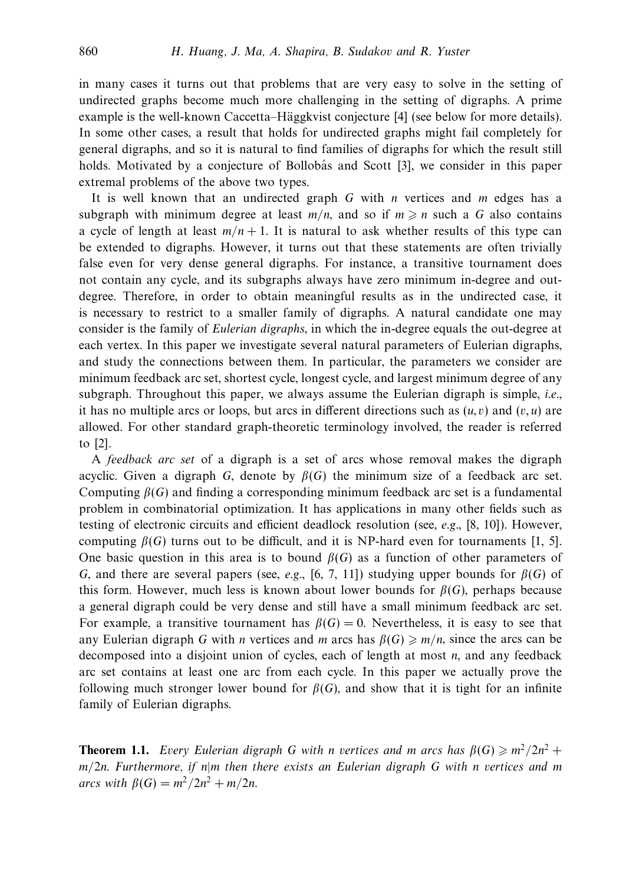in many cases it turns out that problems that are very easy to solve in the setting of undirected graphs become much more challenging in the setting of digraphs. A prime example is the well-known Caccetta–Häggkvist conjecture [4] (see below for more details). In some other cases, a result that holds for undirected graphs might fail completely for general digraphs, and so it is natural to find families of digraphs for which the result still holds. Motivated by a conjecture of Bollobás and Scott [3], we consider in this paper extremal problems of the above two types.

It is well known that an undirected graph *G* with *n* vertices and *m* edges has a subgraph with minimum degree at least  $m/n$ , and so if  $m \geq n$  such a G also contains a cycle of length at least  $m/n + 1$ . It is natural to ask whether results of this type can be extended to digraphs. However, it turns out that these statements are often trivially false even for very dense general digraphs. For instance, a transitive tournament does not contain any cycle, and its subgraphs always have zero minimum in-degree and outdegree. Therefore, in order to obtain meaningful results as in the undirected case, it is necessary to restrict to a smaller family of digraphs. A natural candidate one may consider is the family of *Eulerian digraphs*, in which the in-degree equals the out-degree at each vertex. In this paper we investigate several natural parameters of Eulerian digraphs, and study the connections between them. In particular, the parameters we consider are minimum feedback arc set, shortest cycle, longest cycle, and largest minimum degree of any subgraph. Throughout this paper, we always assume the Eulerian digraph is simple, *i.e.*, it has no multiple arcs or loops, but arcs in different directions such as  $(u, v)$  and  $(v, u)$  are allowed. For other standard graph-theoretic terminology involved, the reader is referred to [2].

A feedback arc set of a digraph is a set of arcs whose removal makes the digraph acyclic. Given a digraph *G*, denote by  $\beta(G)$  the minimum size of a feedback arc set. Computing *β*(*G*) and finding a corresponding minimum feedback arc set is a fundamental problem in combinatorial optimization. It has applications in many other fields such as testing of electronic circuits and efficient deadlock resolution (see, e.g.,  $[8, 10]$ ). However, computing  $\beta(G)$  turns out to be difficult, and it is NP-hard even for tournaments [1, 5]. One basic question in this area is to bound  $\beta(G)$  as a function of other parameters of *G*, and there are several papers (see, *e.g.*, [6, 7, 11]) studying upper bounds for  $β(G)$  of this form. However, much less is known about lower bounds for  $\beta(G)$ , perhaps because a general digraph could be very dense and still have a small minimum feedback arc set. For example, a transitive tournament has  $\beta(G) = 0$ . Nevertheless, it is easy to see that any Eulerian digraph *G* with *n* vertices and *m* arcs has  $\beta(G) \geq m/n$ , since the arcs can be decomposed into a disjoint union of cycles, each of length at most *n*, and any feedback arc set contains at least one arc from each cycle. In this paper we actually prove the following much stronger lower bound for  $\beta(G)$ , and show that it is tight for an infinite family of Eulerian digraphs.

**Theorem 1.1.** Every Eulerian digraph *G* with *n* vertices and *m* arcs has  $\beta(G) \geq m^2/2n^2 +$ *m/*2*n*. Furthermore, if *n*|*m* then there exists an Eulerian digraph *G* with *n* vertices and *m*  $\alpha$ *arcs* with  $\beta(G) = m^2/2n^2 + m/2n$ .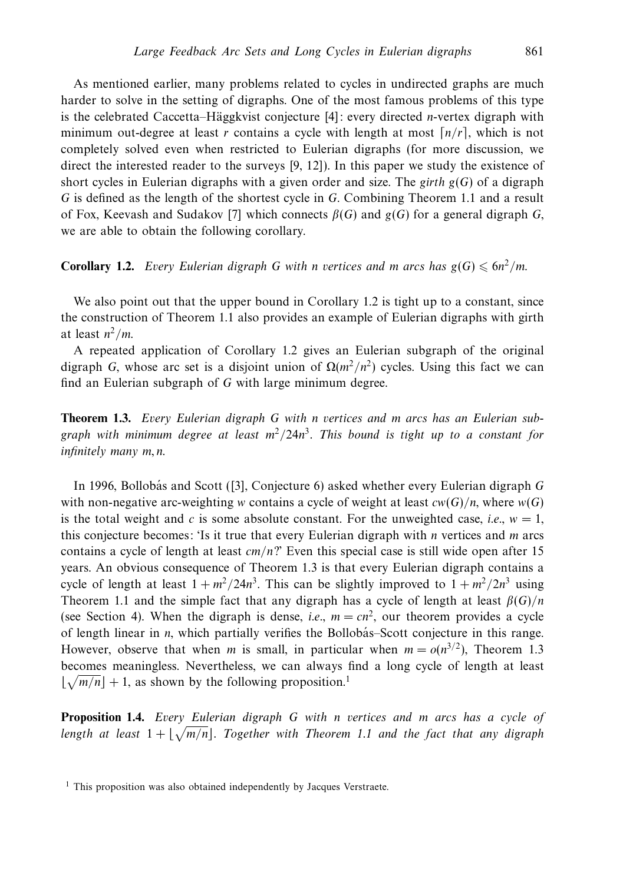As mentioned earlier, many problems related to cycles in undirected graphs are much harder to solve in the setting of digraphs. One of the most famous problems of this type is the celebrated Caccetta–Häggkvist conjecture [4]: every directed *n*-vertex digraph with minimum out-degree at least *r* contains a cycle with length at most  $\lceil n/r \rceil$ , which is not completely solved even when restricted to Eulerian digraphs (for more discussion, we direct the interested reader to the surveys [9, 12]). In this paper we study the existence of short cycles in Eulerian digraphs with a given order and size. The *girth*  $g(G)$  of a digraph *G* is defined as the length of the shortest cycle in *G*. Combining Theorem 1.1 and a result of Fox, Keevash and Sudakov [7] which connects  $\beta(G)$  and  $g(G)$  for a general digraph *G*, we are able to obtain the following corollary.

**Corollary 1.2.** Every Eulerian digraph G with *n* vertices and *m* arcs has  $g(G) \leq 6n^2/m$ .

We also point out that the upper bound in Corollary 1.2 is tight up to a constant, since the construction of Theorem 1.1 also provides an example of Eulerian digraphs with girth at least  $n^2/m$ .

A repeated application of Corollary 1.2 gives an Eulerian subgraph of the original digraph *G*, whose arc set is a disjoint union of  $\Omega(m^2/n^2)$  cycles. Using this fact we can find an Eulerian subgraph of *G* with large minimum degree.

**Theorem 1.3.** Every Eulerian digraph *G* with *n* vertices and *m* arcs has an Eulerian subgraph with minimum degree at least *m*<sup>2</sup>*/*24*n*<sup>3</sup>. This bound is tight up to a constant for infinitely many *m, n*.

In 1996, Bollobás and Scott ([3], Conjecture 6) asked whether every Eulerian digraph G with non-negative arc-weighting *w* contains a cycle of weight at least  $cw(G)/n$ , where  $w(G)$ is the total weight and c is some absolute constant. For the unweighted case, *i.e.*,  $w = 1$ , this conjecture becomes: 'Is it true that every Eulerian digraph with *n* vertices and *m* arcs contains a cycle of length at least *cm/n*?' Even this special case is still wide open after 15 years. An obvious consequence of Theorem 1.3 is that every Eulerian digraph contains a cycle of length at least  $1 + m^2/24n^3$ . This can be slightly improved to  $1 + m^2/2n^3$  using Theorem 1.1 and the simple fact that any digraph has a cycle of length at least  $\beta(G)/n$ (see Section 4). When the digraph is dense, *i.e.*,  $m = cn^2$ , our theorem provides a cycle of length linear in *n*, which partially verifies the Bollobás–Scott conjecture in this range. However, observe that when *m* is small, in particular when  $m = o(n^{3/2})$ , Theorem 1.3 becomes meaningless. Nevertheless, we can always find a long cycle of length at least  $\lfloor \sqrt{m/n} \rfloor + 1$ , as shown by the following proposition.<sup>1</sup>

**Proposition 1.4.** Every Eulerian digraph *G* with *n* vertices and *m* arcs has a cycle of length at least  $1 + \lfloor \sqrt{m/n} \rfloor$ . Together with Theorem 1.1 and the fact that any digraph

<sup>&</sup>lt;sup>1</sup> This proposition was also obtained independently by Jacques Verstraete.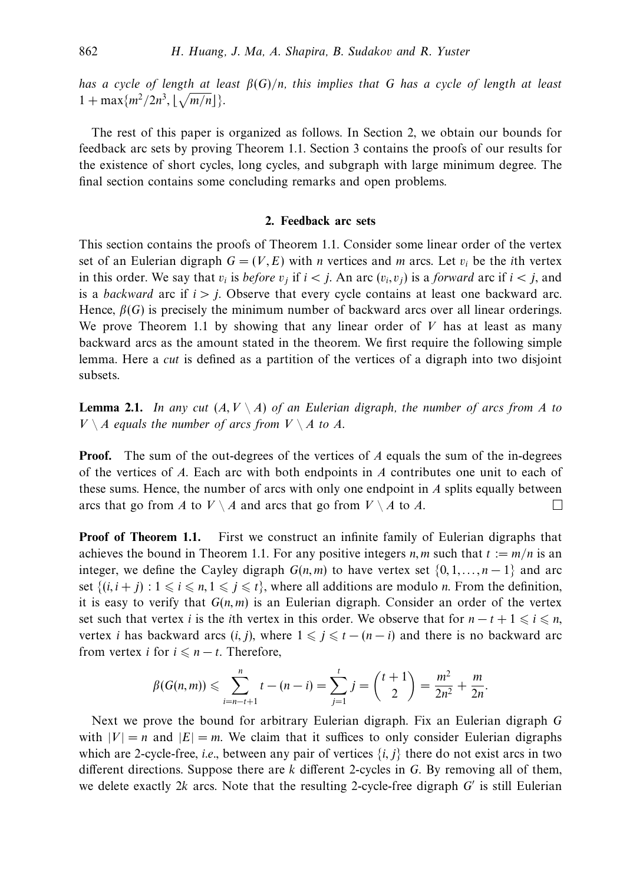has a cycle of length at least *β*(*G*)*/n*, this implies that *G* has a cycle of length at least  $1 + \max\{m^2/2n^3, \lfloor \sqrt{m/n} \rfloor\}.$ 

The rest of this paper is organized as follows. In Section 2, we obtain our bounds for feedback arc sets by proving Theorem 1.1. Section 3 contains the proofs of our results for the existence of short cycles, long cycles, and subgraph with large minimum degree. The final section contains some concluding remarks and open problems.

# **2. Feedback arc sets**

This section contains the proofs of Theorem 1.1. Consider some linear order of the vertex set of an Eulerian digraph  $G = (V, E)$  with *n* vertices and *m* arcs. Let  $v_i$  be the *i*th vertex in this order. We say that  $v_i$  is *before*  $v_j$  if  $i < j$ . An arc  $(v_i, v_j)$  is a *forward* arc if  $i < j$ , and is a *backward* arc if  $i > j$ . Observe that every cycle contains at least one backward arc. Hence,  $\beta(G)$  is precisely the minimum number of backward arcs over all linear orderings. We prove Theorem 1.1 by showing that any linear order of *V* has at least as many backward arcs as the amount stated in the theorem. We first require the following simple lemma. Here a cut is defined as a partition of the vertices of a digraph into two disjoint subsets.

**Lemma 2.1.** In any cut  $(A, V \setminus A)$  of an Eulerian digraph, the number of arcs from A to *V* \ *A* equals the number of arcs from *V* \ *A* to *A*.

**Proof.** The sum of the out-degrees of the vertices of *A* equals the sum of the in-degrees of the vertices of *A*. Each arc with both endpoints in *A* contributes one unit to each of these sums. Hence, the number of arcs with only one endpoint in *A* splits equally between arcs that go from *A* to  $V \setminus A$  and arcs that go from  $V \setminus A$  to *A*.  $\Box$ 

**Proof of Theorem 1.1.** First we construct an infinite family of Eulerian digraphs that achieves the bound in Theorem 1.1. For any positive integers *n, m* such that  $t := m/n$  is an integer, we define the Cayley digraph  $G(n, m)$  to have vertex set  $\{0, 1, \ldots, n-1\}$  and arc set  $\{(i, i + j): 1 \leq i \leq n, 1 \leq j \leq t\}$ , where all additions are modulo *n*. From the definition, it is easy to verify that  $G(n, m)$  is an Eulerian digraph. Consider an order of the vertex set such that vertex *i* is the *i*th vertex in this order. We observe that for  $n - t + 1 \leq i \leq n$ , vertex *i* has backward arcs  $(i, j)$ , where  $1 \leq j \leq t - (n - i)$  and there is no backward arc from vertex *i* for  $i \leq n - t$ . Therefore,

$$
\beta(G(n,m)) \leqslant \sum_{i=n-t+1}^{n} t - (n-i) = \sum_{j=1}^{t} j = \binom{t+1}{2} = \frac{m^2}{2n^2} + \frac{m}{2n}.
$$

Next we prove the bound for arbitrary Eulerian digraph. Fix an Eulerian digraph *G* with  $|V| = n$  and  $|E| = m$ . We claim that it suffices to only consider Eulerian digraphs which are 2-cycle-free, *i.e.*, between any pair of vertices  $\{i, j\}$  there do not exist arcs in two different directions. Suppose there are *k* different 2-cycles in *G*. By removing all of them, we delete exactly  $2k$  arcs. Note that the resulting 2-cycle-free digraph  $G'$  is still Eulerian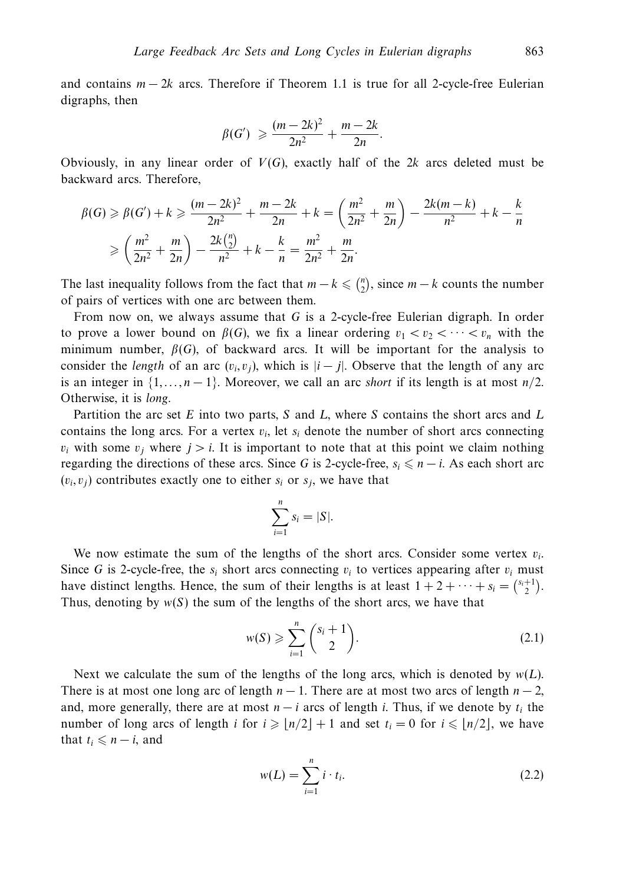and contains *m* − 2*k* arcs. Therefore if Theorem 1.1 is true for all 2-cycle-free Eulerian digraphs, then

$$
\beta(G') \geqslant \frac{(m-2k)^2}{2n^2} + \frac{m-2k}{2n}.
$$

Obviously, in any linear order of *V*(*G*), exactly half of the 2*k* arcs deleted must be backward arcs. Therefore,

$$
\beta(G) \ge \beta(G') + k \ge \frac{(m-2k)^2}{2n^2} + \frac{m-2k}{2n} + k = \left(\frac{m^2}{2n^2} + \frac{m}{2n}\right) - \frac{2k(m-k)}{n^2} + k - \frac{k}{n}
$$

$$
\ge \left(\frac{m^2}{2n^2} + \frac{m}{2n}\right) - \frac{2k\binom{n}{2}}{n^2} + k - \frac{k}{n} = \frac{m^2}{2n^2} + \frac{m}{2n}.
$$

The last inequality follows from the fact that  $m - k \leq \binom{n}{2}$ , since  $m - k$  counts the number of pairs of vertices with one arc between them.

From now on, we always assume that *G* is a 2-cycle-free Eulerian digraph. In order to prove a lower bound on  $\beta(G)$ , we fix a linear ordering  $v_1 < v_2 < \cdots < v_n$  with the minimum number,  $\beta(G)$ , of backward arcs. It will be important for the analysis to consider the *length* of an arc  $(v_i, v_j)$ , which is  $|i - j|$ . Observe that the length of any arc is an integer in  $\{1,\ldots,n-1\}$ . Moreover, we call an arc *short* if its length is at most  $n/2$ . Otherwise, it is long.

Partition the arc set *E* into two parts, *S* and *L*, where *S* contains the short arcs and *L* contains the long arcs. For a vertex  $v_i$ , let  $s_i$  denote the number of short arcs connecting *v<sub>i</sub>* with some *v<sub>i</sub>* where  $j > i$ . It is important to note that at this point we claim nothing regarding the directions of these arcs. Since *G* is 2-cycle-free,  $s_i \leq n - i$ . As each short arc  $(v_i, v_j)$  contributes exactly one to either  $s_i$  or  $s_j$ , we have that

$$
\sum_{i=1}^n s_i = |S|.
$$

We now estimate the sum of the lengths of the short arcs. Consider some vertex  $v_i$ . Since *G* is 2-cycle-free, the  $s_i$  short arcs connecting  $v_i$  to vertices appearing after  $v_i$  must have distinct lengths. Hence, the sum of their lengths is at least  $1 + 2 + \cdots + s_i = \binom{s_i+1}{2}$ . Thus, denoting by  $w(S)$  the sum of the lengths of the short arcs, we have that

$$
w(S) \geqslant \sum_{i=1}^{n} {s_i + 1 \choose 2}.
$$
\n
$$
(2.1)
$$

Next we calculate the sum of the lengths of the long arcs, which is denoted by  $w(L)$ . There is at most one long arc of length  $n-1$ . There are at most two arcs of length  $n-2$ , and, more generally, there are at most  $n - i$  arcs of length *i*. Thus, if we denote by  $t_i$  the number of long arcs of length *i* for  $i \geq n/2 + 1$  and set  $t_i = 0$  for  $i \leq n/2$ , we have that  $t_i \leq n - i$ , and

$$
w(L) = \sum_{i=1}^{n} i \cdot t_i.
$$
\n
$$
(2.2)
$$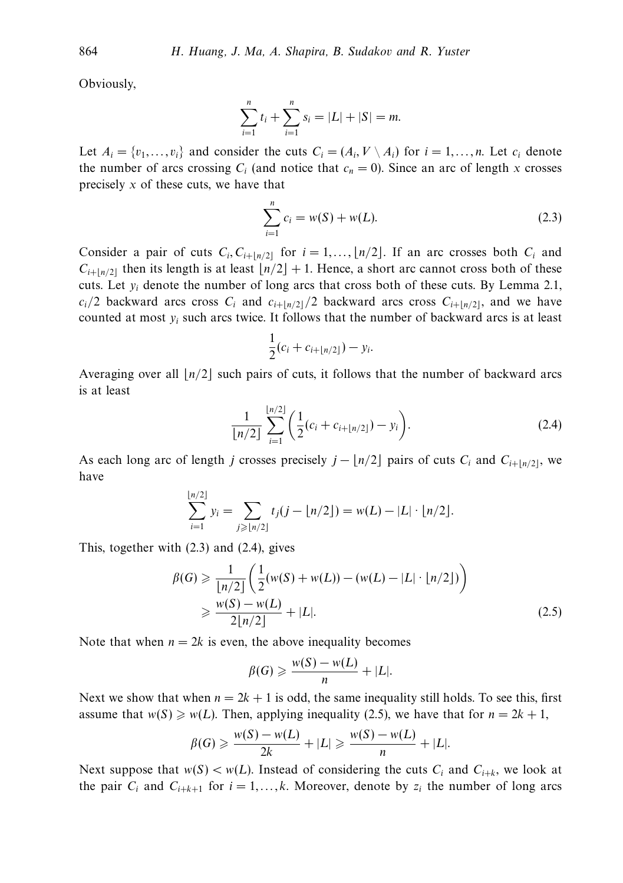Obviously,

$$
\sum_{i=1}^{n} t_i + \sum_{i=1}^{n} s_i = |L| + |S| = m.
$$

Let  $A_i = \{v_1, \ldots, v_i\}$  and consider the cuts  $C_i = (A_i, V \setminus A_i)$  for  $i = 1, \ldots, n$ . Let  $c_i$  denote the number of arcs crossing  $C_i$  (and notice that  $c_n = 0$ ). Since an arc of length *x* crosses precisely *x* of these cuts, we have that

$$
\sum_{i=1}^{n} c_i = w(S) + w(L). \tag{2.3}
$$

Consider a pair of cuts  $C_i$ ,  $C_{i+|n/2|}$  for  $i = 1, \ldots, \lfloor n/2 \rfloor$ . If an arc crosses both  $C_i$  and  $C_{i+|n/2|}$  then its length is at least  $n/2 + 1$ . Hence, a short arc cannot cross both of these cuts. Let  $y_i$  denote the number of long arcs that cross both of these cuts. By Lemma 2.1,  $c_i/2$  backward arcs cross  $C_i$  and  $c_{i+|n/2|}/2$  backward arcs cross  $C_{i+|n/2|}$ , and we have counted at most *yi* such arcs twice. It follows that the number of backward arcs is at least

$$
\frac{1}{2}(c_i + c_{i+\lfloor n/2 \rfloor}) - y_i.
$$

Averaging over all  $|n/2|$  such pairs of cuts, it follows that the number of backward arcs is at least

$$
\frac{1}{\lfloor n/2 \rfloor} \sum_{i=1}^{\lfloor n/2 \rfloor} \left( \frac{1}{2} (c_i + c_{i+\lfloor n/2 \rfloor}) - y_i \right).
$$
 (2.4)

As each long arc of length *j* crosses precisely  $j - \lfloor n/2 \rfloor$  pairs of cuts  $C_i$  and  $C_{i+\lfloor n/2 \rfloor}$ , we have

$$
\sum_{i=1}^{\lfloor n/2 \rfloor} y_i = \sum_{j \geqslant \lfloor n/2 \rfloor} t_j(j - \lfloor n/2 \rfloor) = w(L) - |L| \cdot \lfloor n/2 \rfloor.
$$

This, together with (2.3) and (2.4), gives

$$
\beta(G) \geq \frac{1}{\lfloor n/2 \rfloor} \left( \frac{1}{2} (w(S) + w(L)) - (w(L) - |L| \cdot \lfloor n/2 \rfloor) \right)
$$
  
 
$$
\geq \frac{w(S) - w(L)}{2\lfloor n/2 \rfloor} + |L|.
$$
 (2.5)

Note that when  $n = 2k$  is even, the above inequality becomes

$$
\beta(G) \geqslant \frac{w(S) - w(L)}{n} + |L|.
$$

Next we show that when  $n = 2k + 1$  is odd, the same inequality still holds. To see this, first assume that  $w(S) \ge w(L)$ . Then, applying inequality (2.5), we have that for  $n = 2k + 1$ ,

$$
\beta(G) \geqslant \frac{w(S) - w(L)}{2k} + |L| \geqslant \frac{w(S) - w(L)}{n} + |L|.
$$

Next suppose that  $w(S) < w(L)$ . Instead of considering the cuts  $C_i$  and  $C_{i+k}$ , we look at the pair  $C_i$  and  $C_{i+k+1}$  for  $i = 1, \ldots, k$ . Moreover, denote by  $z_i$  the number of long arcs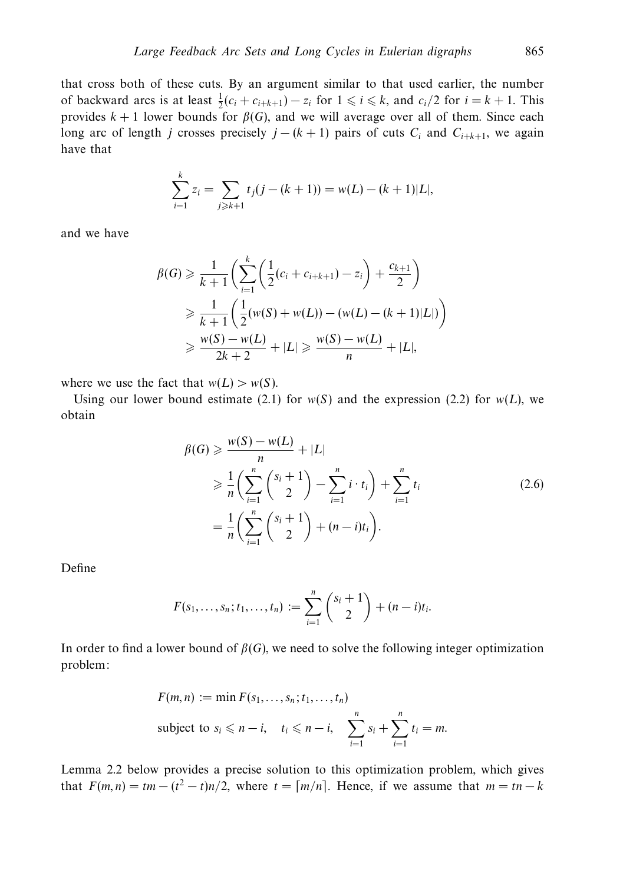that cross both of these cuts. By an argument similar to that used earlier, the number of backward arcs is at least  $\frac{1}{2}(c_i + c_{i+k+1}) - z_i$  for  $1 \le i \le k$ , and  $c_i/2$  for  $i = k + 1$ . This provides  $k + 1$  lower bounds for  $\beta(G)$ , and we will average over all of them. Since each long arc of length *j* crosses precisely  $j - (k + 1)$  pairs of cuts  $C_i$  and  $C_{i+k+1}$ , we again have that

$$
\sum_{i=1}^{k} z_i = \sum_{j \ge k+1} t_j (j - (k+1)) = w(L) - (k+1)|L|,
$$

and we have

$$
\beta(G) \geq \frac{1}{k+1} \left( \sum_{i=1}^{k} \left( \frac{1}{2} (c_i + c_{i+k+1}) - z_i \right) + \frac{c_{k+1}}{2} \right)
$$
  
\n
$$
\geq \frac{1}{k+1} \left( \frac{1}{2} (w(S) + w(L)) - (w(L) - (k+1)|L|) \right)
$$
  
\n
$$
\geq \frac{w(S) - w(L)}{2k+2} + |L| \geq \frac{w(S) - w(L)}{n} + |L|,
$$

where we use the fact that  $w(L) > w(S)$ .

Using our lower bound estimate (2.1) for  $w(S)$  and the expression (2.2) for  $w(L)$ , we obtain

$$
\beta(G) \geq \frac{w(S) - w(L)}{n} + |L|
$$
  
\n
$$
\geq \frac{1}{n} \left( \sum_{i=1}^{n} {s_i + 1 \choose 2} - \sum_{i=1}^{n} i \cdot t_i \right) + \sum_{i=1}^{n} t_i
$$
  
\n
$$
= \frac{1}{n} \left( \sum_{i=1}^{n} {s_i + 1 \choose 2} + (n - i)t_i \right).
$$
 (2.6)

Define

$$
F(s_1,...,s_n;t_1,...,t_n) := \sum_{i=1}^n {s_i + 1 \choose 2} + (n-i)t_i.
$$

In order to find a lower bound of  $\beta(G)$ , we need to solve the following integer optimization problem:

$$
F(m, n) := \min F(s_1, \dots, s_n; t_1, \dots, t_n)
$$
  
subject to  $s_i \le n - i$ ,  $t_i \le n - i$ ,  $\sum_{i=1}^n s_i + \sum_{i=1}^n t_i = m$ .

Lemma 2.2 below provides a precise solution to this optimization problem, which gives that  $F(m, n) = tm - (t^2 - t)n/2$ , where  $t = \lceil m/n \rceil$ . Hence, if we assume that  $m = tn - k$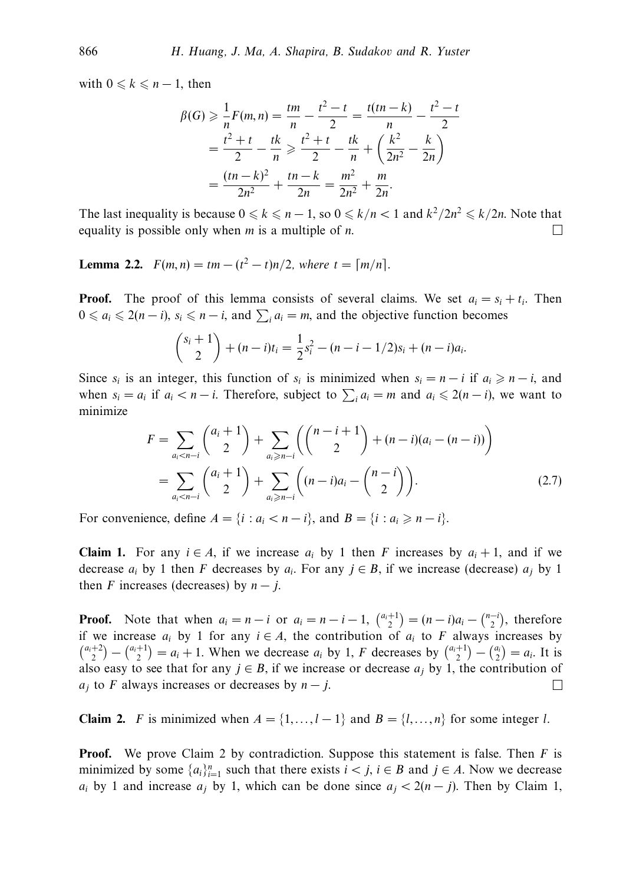with  $0 \leq k \leq n-1$ , then

$$
\beta(G) \ge \frac{1}{n} F(m, n) = \frac{tm}{n} - \frac{t^2 - t}{2} = \frac{t(tn - k)}{n} - \frac{t^2 - t}{2}
$$

$$
= \frac{t^2 + t}{2} - \frac{tk}{n} \ge \frac{t^2 + t}{2} - \frac{tk}{n} + \left(\frac{k^2}{2n^2} - \frac{k}{2n}\right)
$$

$$
= \frac{(tn - k)^2}{2n^2} + \frac{tn - k}{2n} = \frac{m^2}{2n^2} + \frac{m}{2n}.
$$

The last inequality is because  $0 \le k \le n - 1$ , so  $0 \le k/n < 1$  and  $k^2/2n^2 \le k/2n$ . Note that equality is possible only when *m* is a multiple of *n*.  $\Box$ 

**Lemma 2.2.**  $F(m, n) = tm - (t^2 - t)n/2$ , where  $t = \lceil m/n \rceil$ .

**Proof.** The proof of this lemma consists of several claims. We set  $a_i = s_i + t_i$ . Then  $0 \le a_i \le 2(n - i)$ ,  $s_i \le n - i$ , and  $\sum_i a_i = m$ , and the objective function becomes

$$
\binom{s_i+1}{2}+(n-i)t_i=\frac{1}{2}s_i^2-(n-i-1/2)s_i+(n-i)a_i.
$$

Since  $s_i$  is an integer, this function of  $s_i$  is minimized when  $s_i = n - i$  if  $a_i \geq n - i$ , and when  $s_i = a_i$  if  $a_i < n - i$ . Therefore, subject to  $\sum_i a_i = m$  and  $a_i \leq 2(n - i)$ , we want to minimize

$$
F = \sum_{a_i < n-i} \binom{a_i + 1}{2} + \sum_{a_i \ge n-i} \binom{n-i+1}{2} + (n-i)(a_i - (n-i))
$$
\n
$$
= \sum_{a_i < n-i} \binom{a_i + 1}{2} + \sum_{a_i \ge n-i} \binom{(n-i)a_i - \binom{n-i}{2}}{2}.
$$
\n(2.7)

For convenience, define  $A = \{i : a_i < n - i\}$ , and  $B = \{i : a_i \geq n - i\}$ .

**Claim 1.** For any  $i \in A$ , if we increase  $a_i$  by 1 then *F* increases by  $a_i + 1$ , and if we decrease  $a_i$  by 1 then *F* decreases by  $a_i$ . For any  $j \in B$ , if we increase (decrease)  $a_j$  by 1 then *F* increases (decreases) by  $n - j$ .

**Proof.** Note that when  $a_i = n - i$  or  $a_i = n - i - 1$ ,  $\binom{a_i+1}{2} = (n - i)a_i - \binom{n-i}{2}$ , therefore if we increase  $a_i$  by 1 for any  $i \in A$ , the contribution of  $a_i$  to F always increases by  $\binom{a_i+2}{2} - \binom{a_i+1}{2} = a_i + 1$ . When we decrease  $a_i$  by 1, *F* decreases by  $\binom{a_i+1}{2} - \binom{a_i}{2} = a_i$ . It is also easy to see that for any  $j \in B$ , if we increase or decrease  $a_j$  by 1, the contribution of  $\Box$  $a_i$  to *F* always increases or decreases by  $n - j$ .

**Claim 2.** *F* is minimized when  $A = \{1, ..., l-1\}$  and  $B = \{l, ..., n\}$  for some integer *l*.

**Proof.** We prove Claim 2 by contradiction. Suppose this statement is false. Then *F* is minimized by some  $\{a_i\}_{i=1}^n$  such that there exists  $i < j$ ,  $i \in B$  and  $j \in A$ . Now we decrease *a<sub>i</sub>* by 1 and increase  $a_j$  by 1, which can be done since  $a_j < 2(n-j)$ . Then by Claim 1,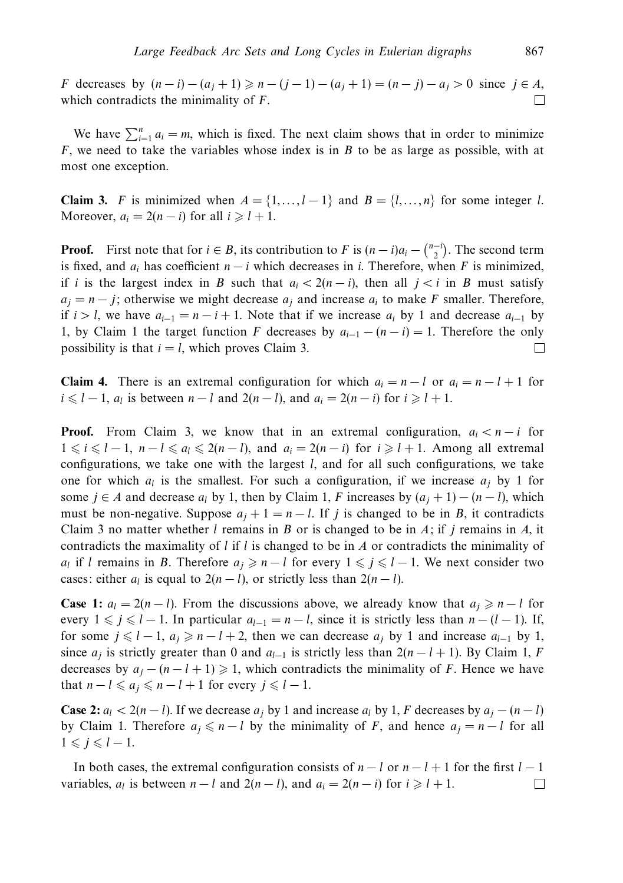*F* decreases by  $(n-i) - (a_j + 1) \ge n - (j-1) - (a_j + 1) = (n - j) - a_j > 0$  since  $j \in A$ , which contradicts the minimality of *F*. П

We have  $\sum_{i=1}^{n} a_i = m$ , which is fixed. The next claim shows that in order to minimize *F*, we need to take the variables whose index is in *B* to be as large as possible, with at most one exception.

**Claim 3.** *F* is minimized when  $A = \{1, \ldots, l-1\}$  and  $B = \{l, \ldots, n\}$  for some integer *l*. Moreover,  $a_i = 2(n - i)$  for all  $i \geq 1 + 1$ .

**Proof.** First note that for  $i \in B$ , its contribution to *F* is  $(n - i)a_i - \binom{n-i}{2}$ . The second term is fixed, and  $a_i$  has coefficient  $n - i$  which decreases in *i*. Therefore, when *F* is minimized, if *i* is the largest index in *B* such that  $a_i < 2(n-i)$ , then all  $j < i$  in *B* must satisfy  $a_j = n - j$ ; otherwise we might decrease  $a_j$  and increase  $a_i$  to make *F* smaller. Therefore, if *i* > *l*, we have  $a_{i-1} = n - i + 1$ . Note that if we increase  $a_i$  by 1 and decrease  $a_{i-1}$  by 1, by Claim 1 the target function *F* decreases by  $a_{i-1} - (n - i) = 1$ . Therefore the only possibility is that  $i = l$ , which proves Claim 3.  $\Box$ 

**Claim 4.** There is an extremal configuration for which  $a_i = n - l$  or  $a_i = n - l + 1$  for *i* ≤ *l* − 1, *a<sub>l</sub>* is between *n* − *l* and 2(*n* − *l*), and *a<sub>i</sub>* = 2(*n* − *i*) for *i* ≥ *l* + 1.

**Proof.** From Claim 3, we know that in an extremal configuration,  $a_i < n - i$  for  $1 \le i \le l-1$ ,  $n-l \le a_l \le 2(n-l)$ , and  $a_i = 2(n-i)$  for  $i \ge l+1$ . Among all extremal configurations, we take one with the largest *l*, and for all such configurations, we take one for which  $a_l$  is the smallest. For such a configuration, if we increase  $a_i$  by 1 for some *j* ∈ *A* and decrease  $a_l$  by 1, then by Claim 1, *F* increases by  $(a_l + 1) - (n - l)$ , which must be non-negative. Suppose  $a_j + 1 = n - l$ . If *j* is changed to be in *B*, it contradicts Claim 3 no matter whether *l* remains in *B* or is changed to be in *A*; if *j* remains in *A*, it contradicts the maximality of *l* if *l* is changed to be in *A* or contradicts the minimality of *a<sub>l</sub>* if *l* remains in *B*. Therefore  $a_j \geq n - l$  for every  $1 \leq j \leq l - 1$ . We next consider two cases: either  $a_l$  is equal to  $2(n - l)$ , or strictly less than  $2(n - l)$ .

**Case 1:**  $a_l = 2(n - l)$ . From the discussions above, we already know that  $a_j \geq n - l$  for every  $1 \leq j \leq l-1$ . In particular  $a_{l-1} = n-l$ , since it is strictly less than  $n-(l-1)$ . If, for some  $j \leq l-1$ ,  $a_j \geq n-l+2$ , then we can decrease  $a_j$  by 1 and increase  $a_{l-1}$  by 1, since  $a_j$  is strictly greater than 0 and  $a_{l-1}$  is strictly less than  $2(n-l+1)$ . By Claim 1, *F* decreases by  $a_j - (n - l + 1) \geq 1$ , which contradicts the minimality of *F*. Hence we have that  $n - l \leq a_j \leq n - l + 1$  for every  $j \leq l - 1$ .

**Case 2:**  $a_l < 2(n - l)$ . If we decrease  $a_j$  by 1 and increase  $a_l$  by 1, *F* decreases by  $a_j - (n - l)$ by Claim 1. Therefore  $a_j \le n - l$  by the minimality of *F*, and hence  $a_j = n - l$  for all  $1 \leqslant j \leqslant l-1$ .

In both cases, the extremal configuration consists of  $n - l$  or  $n - l + 1$  for the first  $l - 1$ variables,  $a_l$  is between  $n - l$  and  $2(n - l)$ , and  $a_i = 2(n - i)$  for  $i \geq l + 1$ .  $\Box$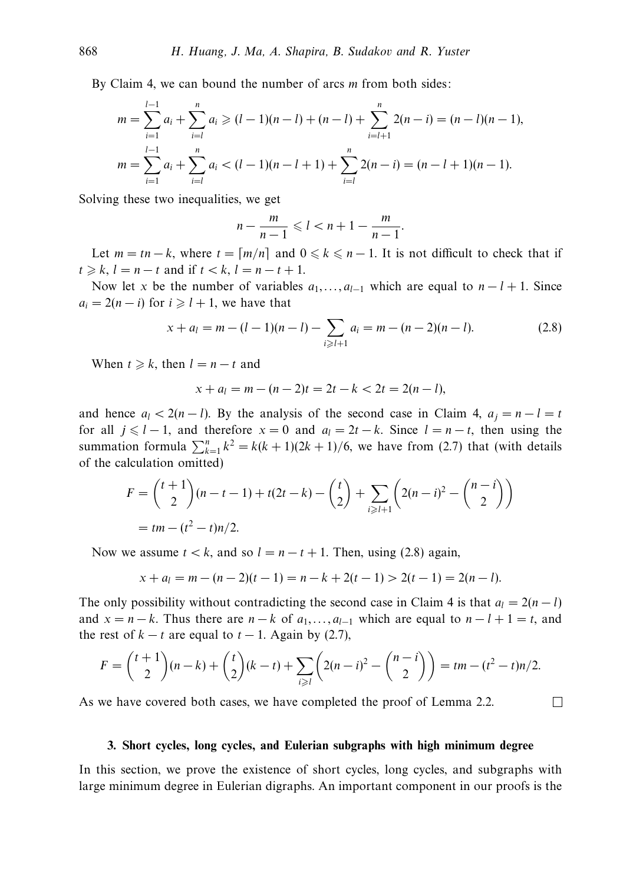By Claim 4, we can bound the number of arcs *m* from both sides:

$$
m = \sum_{i=1}^{l-1} a_i + \sum_{i=l}^{n} a_i \ge (l-1)(n-l) + (n-l) + \sum_{i=l+1}^{n} 2(n-i) = (n-l)(n-1),
$$
  

$$
m = \sum_{i=1}^{l-1} a_i + \sum_{i=l}^{n} a_i < (l-1)(n-l+1) + \sum_{i=l}^{n} 2(n-i) = (n-l+1)(n-1).
$$

Solving these two inequalities, we get

$$
n-\frac{m}{n-1}\leqslant l
$$

Let  $m = tn - k$ , where  $t = \lfloor m/n \rfloor$  and  $0 \le k \le n - 1$ . It is not difficult to check that if  $t \ge k, l = n - t$  and if  $t < k, l = n - t + 1$ .

Now let *x* be the number of variables  $a_1, \ldots, a_{l-1}$  which are equal to  $n - l + 1$ . Since  $a_i = 2(n - i)$  for  $i \geq l + 1$ , we have that

$$
x + a_l = m - (l - 1)(n - l) - \sum_{i \ge l+1} a_i = m - (n - 2)(n - l). \tag{2.8}
$$

When  $t \ge k$ , then  $l = n - t$  and

$$
x + a_l = m - (n - 2)t = 2t - k < 2t = 2(n - l),
$$

and hence  $a_l < 2(n - l)$ . By the analysis of the second case in Claim 4,  $a_i = n - l = t$ for all  $j \le l-1$ , and therefore  $x = 0$  and  $a_l = 2t - k$ . Since  $l = n-t$ , then using the summation formula  $\sum_{k=1}^{n} k^2 = k(k+1)(2k+1)/6$ , we have from (2.7) that (with details of the calculation omitted)

$$
F = {t+1 \choose 2}(n-t-1) + t(2t-k) - {t \choose 2} + \sum_{i \ge l+1} \left(2(n-i)^2 - {n-i \choose 2}\right)
$$
  
=  $tm - (t^2 - t)n/2$ .

Now we assume  $t < k$ , and so  $l = n - t + 1$ . Then, using (2.8) again,

$$
x + al = m - (n - 2)(t - 1) = n - k + 2(t - 1) > 2(t - 1) = 2(n - l).
$$

The only possibility without contradicting the second case in Claim 4 is that  $a_l = 2(n - l)$ and  $x = n - k$ . Thus there are  $n - k$  of  $a_1, \ldots, a_{l-1}$  which are equal to  $n - l + 1 = t$ , and the rest of  $k - t$  are equal to  $t - 1$ . Again by (2.7),

$$
F = {t+1 \choose 2}(n-k) + {t \choose 2}(k-t) + \sum_{i \geq l} \left(2(n-i)^2 - {n-i \choose 2}\right) = tm - (t^2 - t)n/2.
$$

 $\Box$ 

As we have covered both cases, we have completed the proof of Lemma 2.2.

#### **3. Short cycles, long cycles, and Eulerian subgraphs with high minimum degree**

In this section, we prove the existence of short cycles, long cycles, and subgraphs with large minimum degree in Eulerian digraphs. An important component in our proofs is the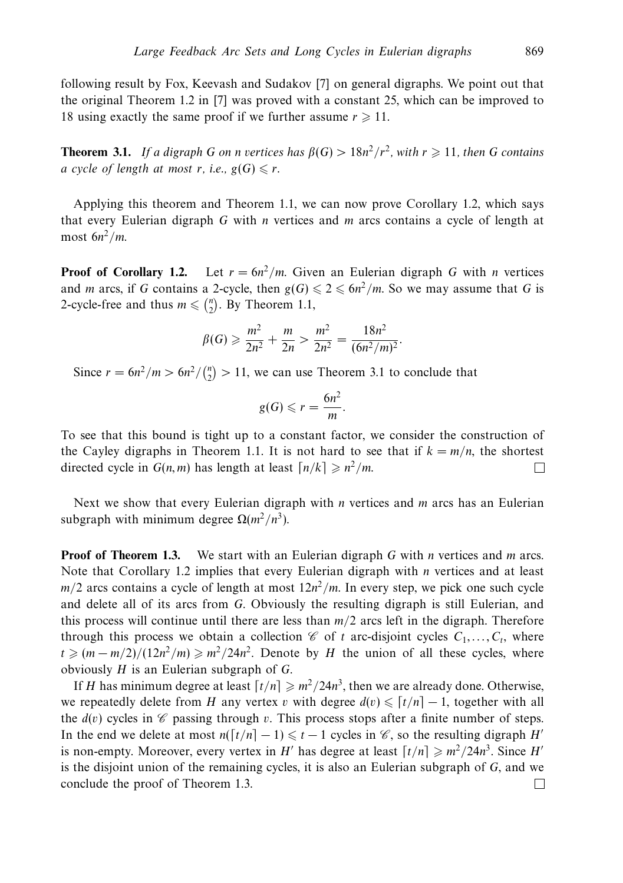following result by Fox, Keevash and Sudakov [7] on general digraphs. We point out that the original Theorem 1.2 in [7] was proved with a constant 25, which can be improved to 18 using exactly the same proof if we further assume  $r \geq 11$ .

**Theorem 3.1.** If a digraph *G* on *n* vertices has  $\beta(G) > 18n^2/r^2$ , with  $r \geq 11$ , then *G* contains *a* cycle of length at most *r*, i.e.,  $g(G) \le r$ .

Applying this theorem and Theorem 1.1, we can now prove Corollary 1.2, which says that every Eulerian digraph *G* with *n* vertices and *m* arcs contains a cycle of length at most 6*n*<sup>2</sup>*/m*.

**Proof of Corollary 1.2.** Let  $r = 6n^2/m$ . Given an Eulerian digraph *G* with *n* vertices and *m* arcs, if *G* contains a 2-cycle, then  $g(G) \leq 2 \leq 6n^2/m$ . So we may assume that *G* is 2-cycle-free and thus  $m \leqslant \binom{n}{2}$ . By Theorem 1.1,

$$
\beta(G) \geqslant \frac{m^2}{2n^2} + \frac{m}{2n} > \frac{m^2}{2n^2} = \frac{18n^2}{(6n^2/m)^2}.
$$

Since  $r = 6n^2/m > 6n^2/\binom{n}{2} > 11$ , we can use Theorem 3.1 to conclude that

$$
g(G) \leqslant r = \frac{6n^2}{m}.
$$

To see that this bound is tight up to a constant factor, we consider the construction of the Cayley digraphs in Theorem 1.1. It is not hard to see that if  $k = m/n$ , the shortest directed cycle in  $G(n, m)$  has length at least  $\lceil n/k \rceil \geqslant n^2/m$ . П

Next we show that every Eulerian digraph with *n* vertices and *m* arcs has an Eulerian subgraph with minimum degree  $\Omega(m^2/n^3)$ .

**Proof of Theorem 1.3.** We start with an Eulerian digraph *G* with *n* vertices and *m* arcs. Note that Corollary 1.2 implies that every Eulerian digraph with *n* vertices and at least  $m/2$  arcs contains a cycle of length at most  $12n^2/m$ . In every step, we pick one such cycle and delete all of its arcs from *G*. Obviously the resulting digraph is still Eulerian, and this process will continue until there are less than *m/*2 arcs left in the digraph. Therefore through this process we obtain a collection  $\mathscr C$  of *t* arc-disjoint cycles  $C_1, \ldots, C_t$ , where  $t \geq (m - m/2)/(12n^2/m) \geq m^2/24n^2$ . Denote by *H* the union of all these cycles, where obviously *H* is an Eulerian subgraph of *G*.

If *H* has minimum degree at least  $\left\lceil t/n \right\rceil \geq m^2/24n^3$ , then we are already done. Otherwise, we repeatedly delete from *H* any vertex *v* with degree  $d(v) \leqslant [t/n] - 1$ , together with all the  $d(v)$  cycles in  $\mathscr C$  passing through v. This process stops after a finite number of steps. In the end we delete at most  $n(\lceil t/n \rceil - 1) \le t - 1$  cycles in *€*, so the resulting digraph *H'* is non-empty. Moreover, every vertex in *H'* has degree at least  $\lceil t/n \rceil \geqslant m^2/24n^3$ . Since *H'* is the disjoint union of the remaining cycles, it is also an Eulerian subgraph of *G*, and we conclude the proof of Theorem 1.3. $\Box$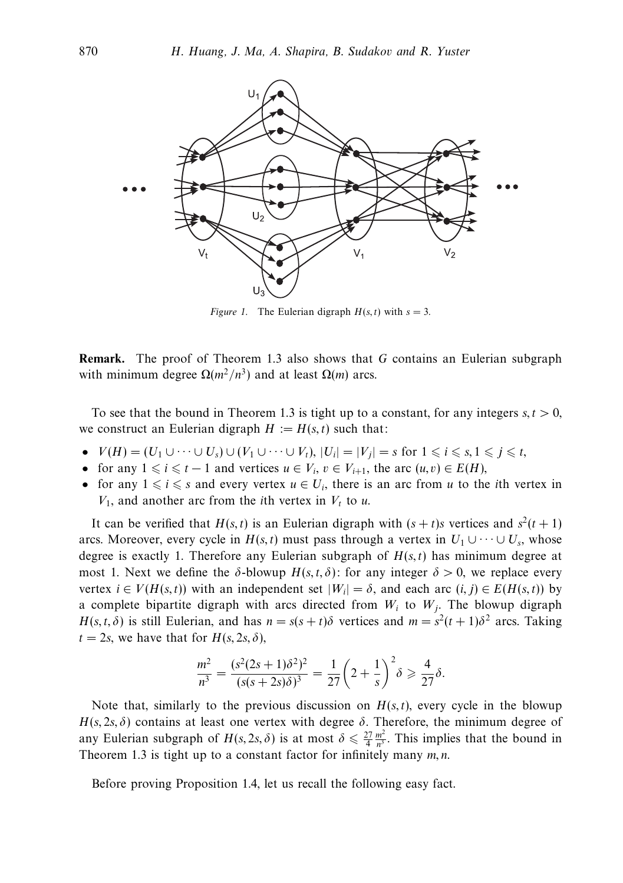

*Figure 1.* The Eulerian digraph  $H(s, t)$  with  $s = 3$ .

**Remark.** The proof of Theorem 1.3 also shows that *G* contains an Eulerian subgraph with minimum degree  $Ω(m²/n³)$  and at least  $Ω(m)$  arcs.

To see that the bound in Theorem 1.3 is tight up to a constant, for any integers  $s, t > 0$ , we construct an Eulerian digraph  $H := H(s, t)$  such that:

- $V(H) = (U_1 \cup \cdots \cup U_s) \cup (V_1 \cup \cdots \cup V_t), |U_i| = |V_i| = s \text{ for } 1 \leq i \leq s, 1 \leq j \leq t$ ,
- for any  $1 \leq i \leq t-1$  and vertices  $u \in V_i$ ,  $v \in V_{i+1}$ , the arc  $(u, v) \in E(H)$ ,
- for any  $1 \leq i \leq s$  and every vertex  $u \in U_i$ , there is an arc from *u* to the *i*th vertex in  $V_1$ , and another arc from the *i*th vertex in  $V_t$  to *u*.

It can be verified that  $H(s, t)$  is an Eulerian digraph with  $(s + t)s$  vertices and  $s^2(t + 1)$ arcs. Moreover, every cycle in  $H(s, t)$  must pass through a vertex in  $U_1 \cup \cdots \cup U_s$ , whose degree is exactly 1. Therefore any Eulerian subgraph of  $H(s, t)$  has minimum degree at most 1. Next we define the  $\delta$ -blowup  $H(s, t, \delta)$ : for any integer  $\delta > 0$ , we replace every vertex  $i \in V(H(s,t))$  with an independent set  $|W_i| = \delta$ , and each arc  $(i, j) \in E(H(s,t))$  by a complete bipartite digraph with arcs directed from  $W_i$  to  $W_j$ . The blowup digraph *H*(*s, t, δ*) is still Eulerian, and has  $n = s(s + t)\delta$  vertices and  $m = s^2(t + 1)\delta^2$  arcs. Taking  $t = 2s$ , we have that for  $H(s, 2s, \delta)$ ,

$$
\frac{m^2}{n^3} = \frac{(s^2(2s+1)\delta^2)^2}{(s(s+2s)\delta)^3} = \frac{1}{27}\left(2+\frac{1}{s}\right)^2\delta \geq \frac{4}{27}\delta.
$$

Note that, similarly to the previous discussion on  $H(s, t)$ , every cycle in the blowup *H*(*s*, 2*s*,  $\delta$ ) contains at least one vertex with degree  $\delta$ . Therefore, the minimum degree of any Eulerian subgraph of  $H(s, 2s, \delta)$  is at most  $\delta \leq \frac{27}{4} \frac{m^2}{n^3}$ . This implies that the bound in Theorem 1.3 is tight up to a constant factor for infinitely many *m, n*.

Before proving Proposition 1.4, let us recall the following easy fact.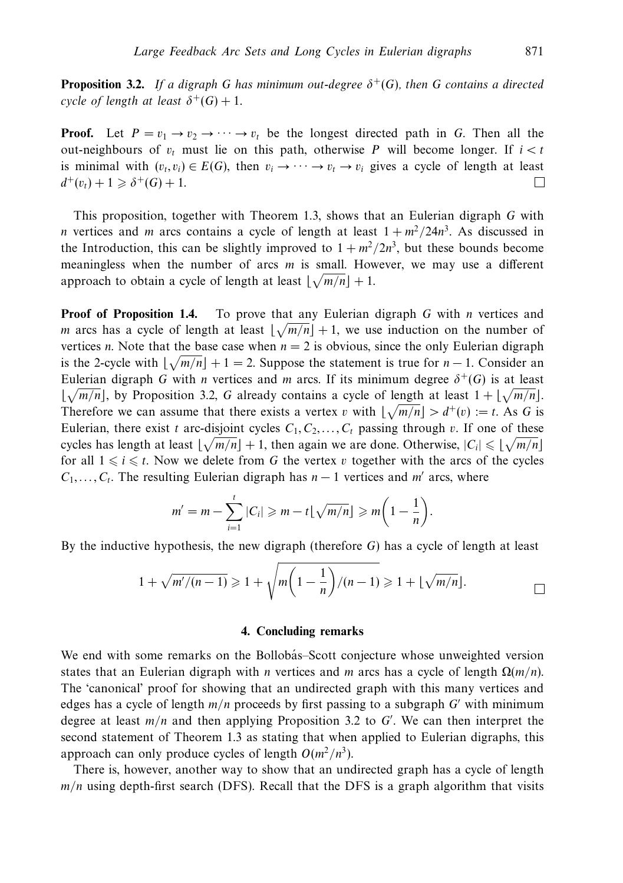**Proposition 3.2.** If a digraph *G* has minimum out-degree  $\delta^+(G)$ , then *G* contains a directed cycle of length at least  $\delta^+(G)+1$ .

**Proof.** Let  $P = v_1 \rightarrow v_2 \rightarrow \cdots \rightarrow v_t$  be the longest directed path in *G*. Then all the out-neighbours of  $v_t$  must lie on this path, otherwise *P* will become longer. If  $i < t$ is minimal with  $(v_t, v_i) \in E(G)$ , then  $v_i \to \cdots \to v_t \to v_i$  gives a cycle of length at least  $d^+(v_t) + 1 \geq \delta^+(G) + 1.$ П

This proposition, together with Theorem 1.3, shows that an Eulerian digraph *G* with *n* vertices and *m* arcs contains a cycle of length at least  $1 + m^2/24n^3$ . As discussed in the Introduction, this can be slightly improved to  $1 + m^2/2n^3$ , but these bounds become meaningless when the number of arcs *m* is small. However, we may use a different approach to obtain a cycle of length at least  $\lfloor \sqrt{m/n} \rfloor + 1$ .

**Proof of Proposition 1.4.** To prove that any Eulerian digraph *G* with *n* vertices and *m* arcs has a cycle of length at least  $\lfloor \sqrt{m/n} \rfloor + 1$ , we use induction on the number of vertices *n*. Note that the base case when  $n = 2$  is obvious, since the only Eulerian digraph is the 2-cycle with  $\lfloor \sqrt{m/n} \rfloor + 1 = 2$ . Suppose the statement is true for *n* − 1. Consider an Eulerian digraph *G* with *n* vertices and *m* arcs. If its minimum degree  $\delta^+(G)$  is at least  $\lfloor \sqrt{m/n} \rfloor$ , by Proposition 3.2, *G* already contains a cycle of length at least  $1 + \lfloor \sqrt{m/n} \rfloor$ . Therefore we can assume that there exists a vertex *v* with  $\lfloor \sqrt{m/n} \rfloor > d^+(v) := t$ . As G is Eulerian, there exist *t* arc-disjoint cycles  $C_1, C_2, \ldots, C_t$  passing through *v*. If one of these cycles has length at least  $\lfloor \sqrt{m/n} \rfloor + 1$ , then again we are done. Otherwise,  $|C_i| \leq \lfloor \sqrt{m/n} \rfloor$ for all  $1 \leq i \leq t$ . Now we delete from G the vertex *v* together with the arcs of the cycles  $C_1, \ldots, C_t$ . The resulting Eulerian digraph has  $n-1$  vertices and *m'* arcs, where

$$
m' = m - \sum_{i=1}^t |C_i| \geq m - t \lfloor \sqrt{m/n} \rfloor \geq m \left(1 - \frac{1}{n}\right).
$$

By the inductive hypothesis, the new digraph (therefore *G*) has a cycle of length at least

$$
1+\sqrt{m/(n-1)}\geqslant 1+\sqrt{m\left(1-\frac{1}{n}\right)/(n-1)}\geqslant 1+\lfloor\sqrt{m/n}\rfloor.
$$

# **4. Concluding remarks**

We end with some remarks on the Bollobás–Scott conjecture whose unweighted version states that an Eulerian digraph with *n* vertices and *m* arcs has a cycle of length  $\Omega(m/n)$ . The 'canonical' proof for showing that an undirected graph with this many vertices and edges has a cycle of length *m/n* proceeds by first passing to a subgraph *G* with minimum degree at least *m/n* and then applying Proposition 3.2 to *G* . We can then interpret the second statement of Theorem 1.3 as stating that when applied to Eulerian digraphs, this approach can only produce cycles of length  $O(m^2/n^3)$ .

There is, however, another way to show that an undirected graph has a cycle of length *m/n* using depth-first search (DFS). Recall that the DFS is a graph algorithm that visits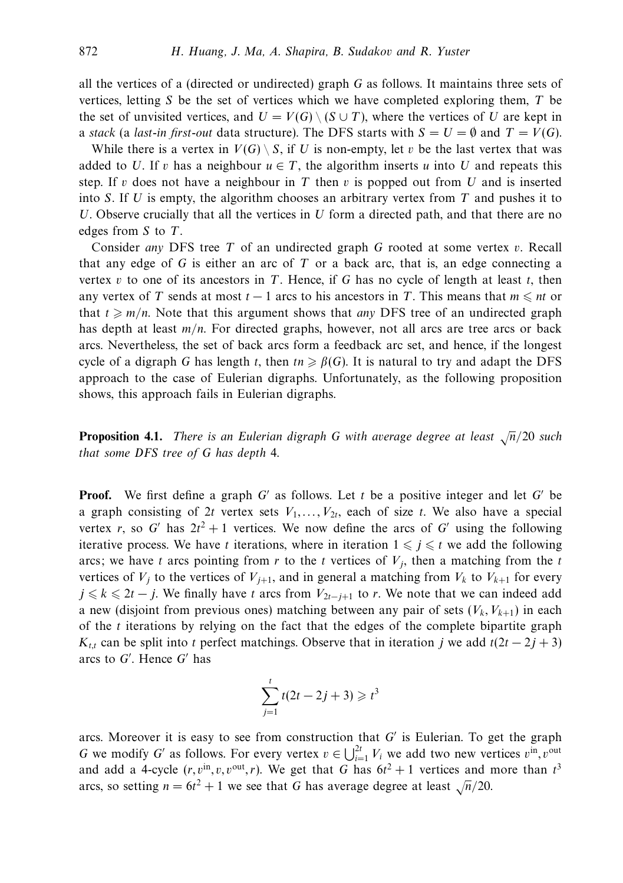all the vertices of a (directed or undirected) graph *G* as follows. It maintains three sets of vertices, letting *S* be the set of vertices which we have completed exploring them, *T* be the set of unvisited vertices, and  $U = V(G) \setminus (S \cup T)$ , where the vertices of *U* are kept in a stack (a last-in first-out data structure). The DFS starts with  $S = U = \emptyset$  and  $T = V(G)$ .

While there is a vertex in  $V(G) \setminus S$ , if U is non-empty, let v be the last vertex that was added to *U*. If *v* has a neighbour  $u \in T$ , the algorithm inserts *u* into *U* and repeats this step. If *v* does not have a neighbour in *T* then *v* is popped out from *U* and is inserted into *S*. If *U* is empty, the algorithm chooses an arbitrary vertex from *T* and pushes it to *U*. Observe crucially that all the vertices in *U* form a directed path, and that there are no edges from *S* to *T*.

Consider any DFS tree *T* of an undirected graph *G* rooted at some vertex *v*. Recall that any edge of *G* is either an arc of *T* or a back arc, that is, an edge connecting a vertex *v* to one of its ancestors in *T*. Hence, if *G* has no cycle of length at least *t*, then any vertex of *T* sends at most  $t - 1$  arcs to his ancestors in *T*. This means that  $m \leq n t$  or that  $t \geq m/n$ . Note that this argument shows that *any* DFS tree of an undirected graph has depth at least  $m/n$ . For directed graphs, however, not all arcs are tree arcs or back arcs. Nevertheless, the set of back arcs form a feedback arc set, and hence, if the longest cycle of a digraph *G* has length *t*, then  $tn \geq \beta(G)$ . It is natural to try and adapt the DFS approach to the case of Eulerian digraphs. Unfortunately, as the following proposition shows, this approach fails in Eulerian digraphs.

**Proposition 4.1.** There is an Eulerian digraph G with average degree at least  $\sqrt{n}/20$  such that some DFS tree of *G* has depth 4.

**Proof.** We first define a graph  $G'$  as follows. Let t be a positive integer and let  $G'$  be a graph consisting of 2t vertex sets  $V_1, \ldots, V_{2t}$ , each of size t. We also have a special vertex *r*, so G' has  $2t^2 + 1$  vertices. We now define the arcs of G' using the following iterative process. We have *t* iterations, where in iteration  $1 \leq j \leq t$  we add the following arcs; we have *t* arcs pointing from  $r$  to the  $t$  vertices of  $V_j$ , then a matching from the  $t$ vertices of  $V_i$  to the vertices of  $V_{i+1}$ , and in general a matching from  $V_k$  to  $V_{k+1}$  for every *j*  $\le$  *k*  $\le$  2*t* − *j*. We finally have *t* arcs from  $V_{2t-j+1}$  to *r*. We note that we can indeed add a new (disjoint from previous ones) matching between any pair of sets  $(V_k, V_{k+1})$  in each of the *t* iterations by relying on the fact that the edges of the complete bipartite graph *K<sub>t,t</sub>* can be split into *t* perfect matchings. Observe that in iteration *j* we add  $t(2t - 2j + 3)$ arcs to G'. Hence G' has

$$
\sum_{j=1}^{t} t(2t - 2j + 3) \geq t^3
$$

arcs. Moreover it is easy to see from construction that *G* is Eulerian. To get the graph *G* we modify *G'* as follows. For every vertex  $v \in \bigcup_{i=1}^{2t} V_i$  we add two new vertices  $v^{\text{in}}$ ,  $v^{\text{out}}$ and add a 4-cycle  $(r, v^{\text{in}}, v, v^{\text{out}}, r)$ . We get that *G* has  $6t^2 + 1$  vertices and more than  $t^3$ arcs, so setting  $n = 6t^2 + 1$  we see that *G* has average degree at least  $\sqrt{n}/20$ .